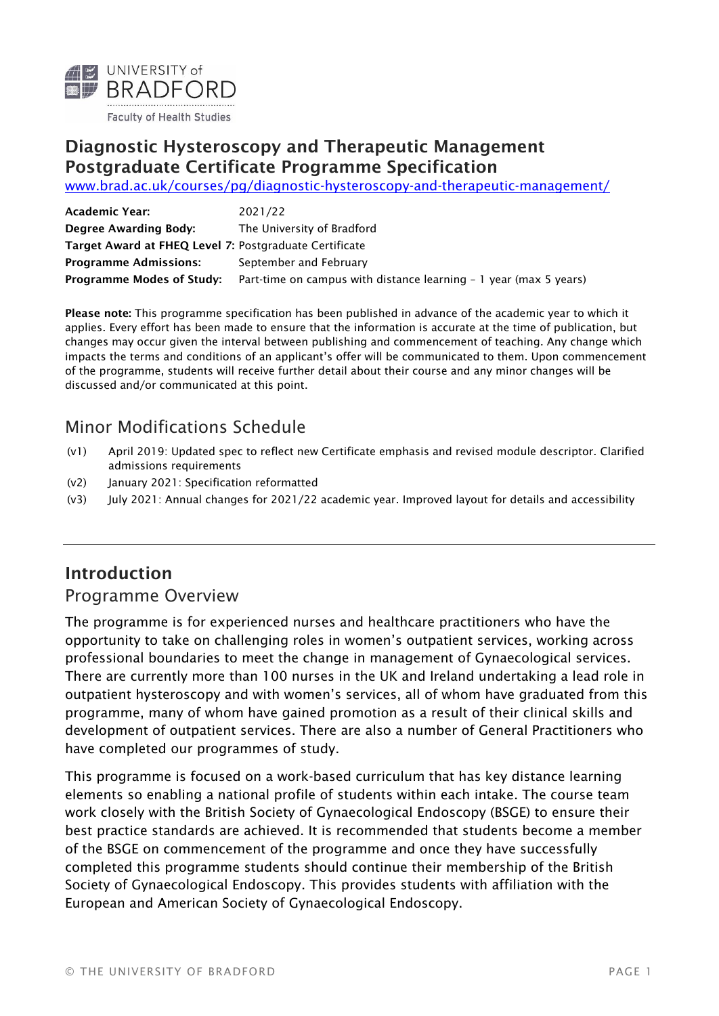

#### Diagnostic Hysteroscopy and Therapeutic Management Postgraduate Certificate Programme Specification

[www.brad.ac.uk/courses/pg/diagnostic-hysteroscopy-and-therapeutic-management/](https://www.brad.ac.uk/courses/pg/diagnostic-hysteroscopy-and-therapeutic-management/)

| Academic Year:                                         | 2021/22                                                           |
|--------------------------------------------------------|-------------------------------------------------------------------|
| Degree Awarding Body:                                  | The University of Bradford                                        |
| Target Award at FHEQ Level 7: Postgraduate Certificate |                                                                   |
| <b>Programme Admissions:</b>                           | September and February                                            |
| <b>Programme Modes of Study:</b>                       | Part-time on campus with distance learning - 1 year (max 5 years) |

Please note: This programme specification has been published in advance of the academic year to which it applies. Every effort has been made to ensure that the information is accurate at the time of publication, but changes may occur given the interval between publishing and commencement of teaching. Any change which impacts the terms and conditions of an applicant's offer will be communicated to them. Upon commencement of the programme, students will receive further detail about their course and any minor changes will be discussed and/or communicated at this point.

### Minor Modifications Schedule

- (v1) April 2019: Updated spec to reflect new Certificate emphasis and revised module descriptor. Clarified admissions requirements
- (v2) January 2021: Specification reformatted
- (v3) July 2021: Annual changes for 2021/22 academic year. Improved layout for details and accessibility

### Introduction

#### Programme Overview

The programme is for experienced nurses and healthcare practitioners who have the opportunity to take on challenging roles in women's outpatient services, working across professional boundaries to meet the change in management of Gynaecological services. There are currently more than 100 nurses in the UK and Ireland undertaking a lead role in outpatient hysteroscopy and with women's services, all of whom have graduated from this programme, many of whom have gained promotion as a result of their clinical skills and development of outpatient services. There are also a number of General Practitioners who have completed our programmes of study.

This programme is focused on a work-based curriculum that has key distance learning elements so enabling a national profile of students within each intake. The course team work closely with the British Society of Gynaecological Endoscopy (BSGE) to ensure their best practice standards are achieved. It is recommended that students become a member of the BSGE on commencement of the programme and once they have successfully completed this programme students should continue their membership of the British Society of Gynaecological Endoscopy. This provides students with affiliation with the European and American Society of Gynaecological Endoscopy.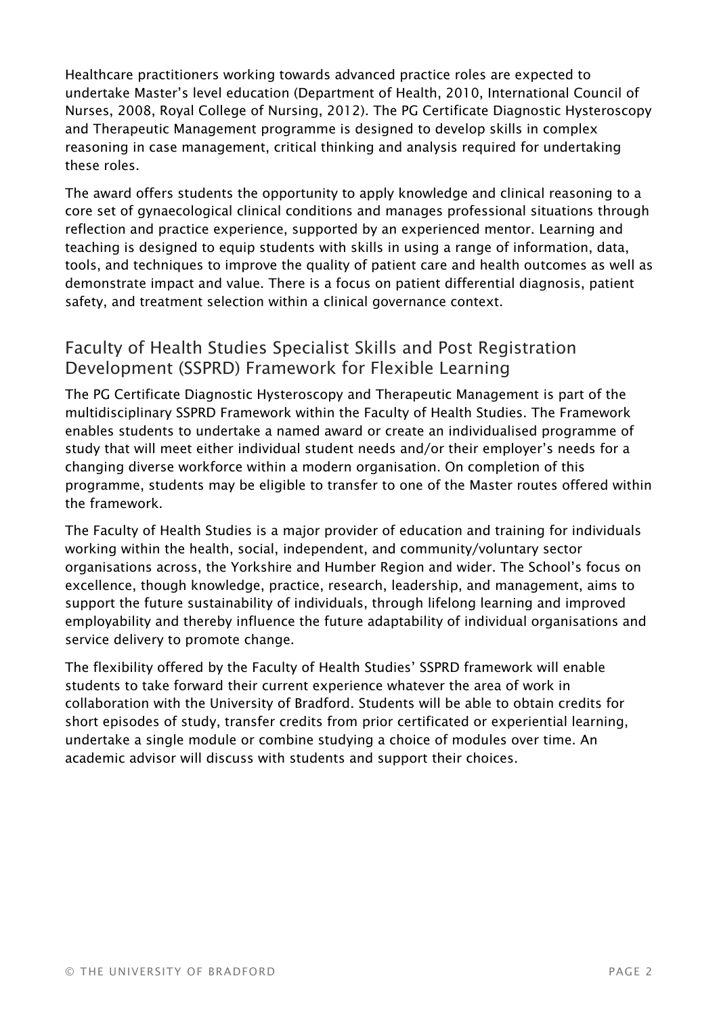Healthcare practitioners working towards advanced practice roles are expected to undertake Master's level education (Department of Health, 2010, International Council of Nurses, 2008, Royal College of Nursing, 2012). The PG Certificate Diagnostic Hysteroscopy and Therapeutic Management programme is designed to develop skills in complex reasoning in case management, critical thinking and analysis required for undertaking these roles.

The award offers students the opportunity to apply knowledge and clinical reasoning to a core set of gynaecological clinical conditions and manages professional situations through reflection and practice experience, supported by an experienced mentor. Learning and teaching is designed to equip students with skills in using a range of information, data, tools, and techniques to improve the quality of patient care and health outcomes as well as demonstrate impact and value. There is a focus on patient differential diagnosis, patient safety, and treatment selection within a clinical governance context.

### Faculty of Health Studies Specialist Skills and Post Registration Development (SSPRD) Framework for Flexible Learning

The PG Certificate Diagnostic Hysteroscopy and Therapeutic Management is part of the multidisciplinary SSPRD Framework within the Faculty of Health Studies. The Framework enables students to undertake a named award or create an individualised programme of study that will meet either individual student needs and/or their employer's needs for a changing diverse workforce within a modern organisation. On completion of this programme, students may be eligible to transfer to one of the Master routes offered within the framework.

The Faculty of Health Studies is a major provider of education and training for individuals working within the health, social, independent, and community/voluntary sector organisations across, the Yorkshire and Humber Region and wider. The School's focus on excellence, though knowledge, practice, research, leadership, and management, aims to support the future sustainability of individuals, through lifelong learning and improved employability and thereby influence the future adaptability of individual organisations and service delivery to promote change.

The flexibility offered by the Faculty of Health Studies' SSPRD framework will enable students to take forward their current experience whatever the area of work in collaboration with the University of Bradford. Students will be able to obtain credits for short episodes of study, transfer credits from prior certificated or experiential learning, undertake a single module or combine studying a choice of modules over time. An academic advisor will discuss with students and support their choices.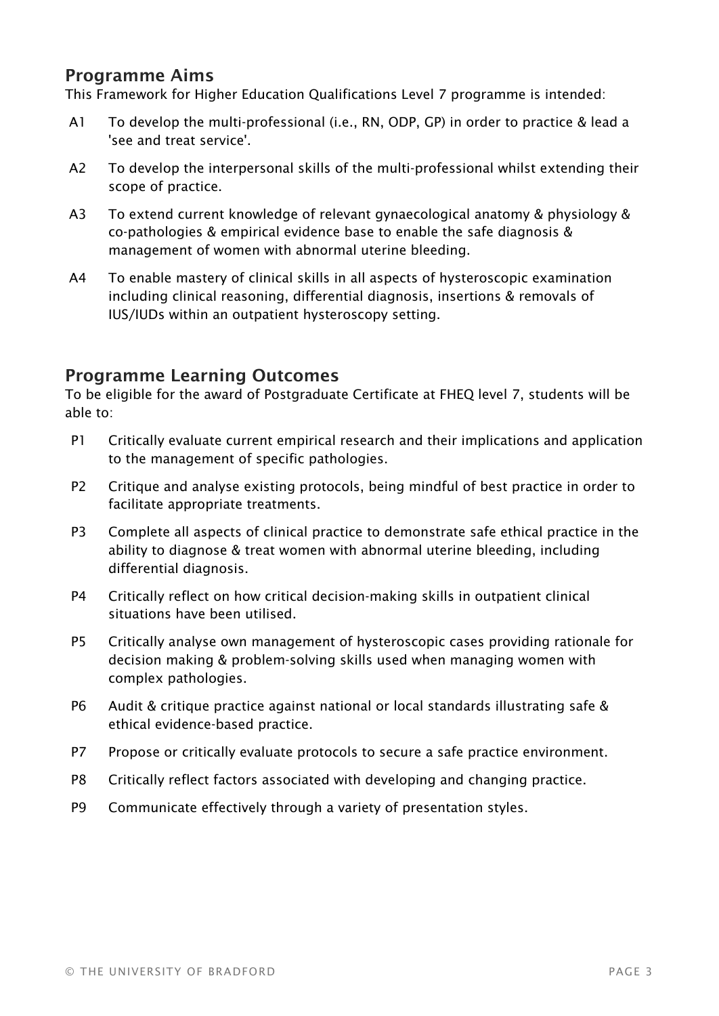#### Programme Aims

This Framework for Higher Education Qualifications Level 7 programme is intended:

- A1 To develop the multi-professional (i.e., RN, ODP, GP) in order to practice & lead a 'see and treat service'.
- A2 To develop the interpersonal skills of the multi-professional whilst extending their scope of practice.
- A3 To extend current knowledge of relevant gynaecological anatomy & physiology & co-pathologies & empirical evidence base to enable the safe diagnosis & management of women with abnormal uterine bleeding.
- A4 To enable mastery of clinical skills in all aspects of hysteroscopic examination including clinical reasoning, differential diagnosis, insertions & removals of IUS/IUDs within an outpatient hysteroscopy setting.

#### Programme Learning Outcomes

To be eligible for the award of Postgraduate Certificate at FHEQ level 7, students will be able to:

- P1 Critically evaluate current empirical research and their implications and application to the management of specific pathologies.
- P2 Critique and analyse existing protocols, being mindful of best practice in order to facilitate appropriate treatments.
- P3 Complete all aspects of clinical practice to demonstrate safe ethical practice in the ability to diagnose & treat women with abnormal uterine bleeding, including differential diagnosis.
- P4 Critically reflect on how critical decision-making skills in outpatient clinical situations have been utilised.
- P5 Critically analyse own management of hysteroscopic cases providing rationale for decision making & problem-solving skills used when managing women with complex pathologies.
- P6 Audit & critique practice against national or local standards illustrating safe & ethical evidence-based practice.
- P7 Propose or critically evaluate protocols to secure a safe practice environment.
- P8 Critically reflect factors associated with developing and changing practice.
- P9 Communicate effectively through a variety of presentation styles.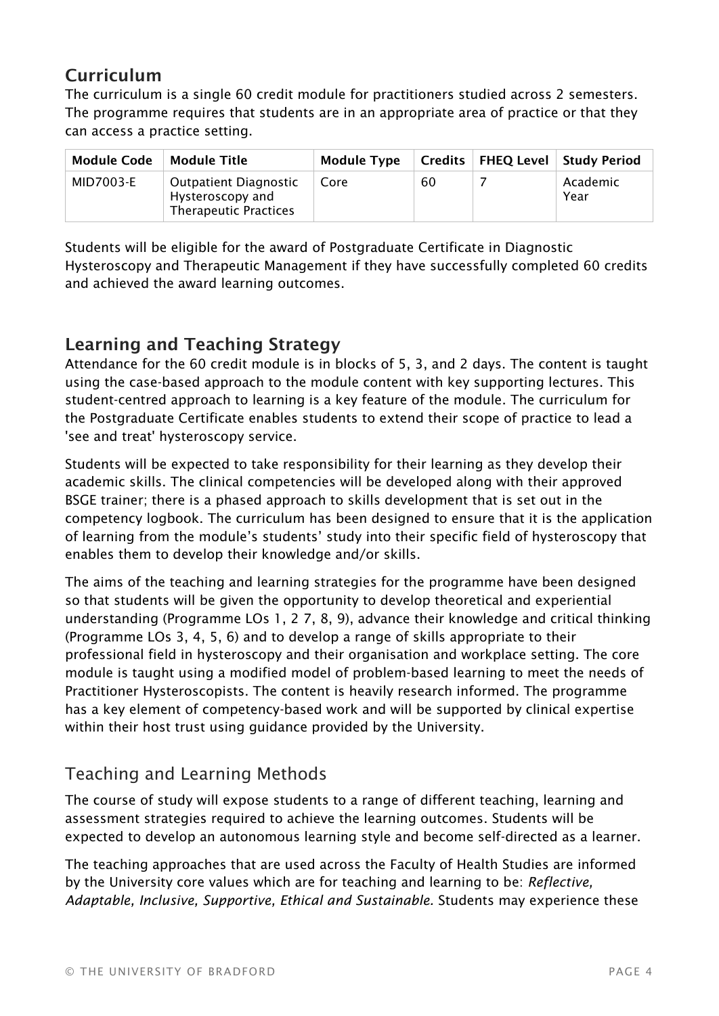## Curriculum

The curriculum is a single 60 credit module for practitioners studied across 2 semesters. The programme requires that students are in an appropriate area of practice or that they can access a practice setting.

| Module Code | Module Title                                                                     | <b>Module Type</b> |    | Credits   FHEQ Level   Study Period |
|-------------|----------------------------------------------------------------------------------|--------------------|----|-------------------------------------|
| MID7003-E   | <b>Outpatient Diagnostic</b><br>Hysteroscopy and<br><b>Therapeutic Practices</b> | Core               | 60 | Academic<br>Year                    |

Students will be eligible for the award of Postgraduate Certificate in Diagnostic Hysteroscopy and Therapeutic Management if they have successfully completed 60 credits and achieved the award learning outcomes.

## Learning and Teaching Strategy

Attendance for the 60 credit module is in blocks of 5, 3, and 2 days. The content is taught using the case-based approach to the module content with key supporting lectures. This student-centred approach to learning is a key feature of the module. The curriculum for the Postgraduate Certificate enables students to extend their scope of practice to lead a 'see and treat' hysteroscopy service.

Students will be expected to take responsibility for their learning as they develop their academic skills. The clinical competencies will be developed along with their approved BSGE trainer; there is a phased approach to skills development that is set out in the competency logbook. The curriculum has been designed to ensure that it is the application of learning from the module's students' study into their specific field of hysteroscopy that enables them to develop their knowledge and/or skills.

The aims of the teaching and learning strategies for the programme have been designed so that students will be given the opportunity to develop theoretical and experiential understanding (Programme LOs 1, 2 7, 8, 9), advance their knowledge and critical thinking (Programme LOs 3, 4, 5, 6) and to develop a range of skills appropriate to their professional field in hysteroscopy and their organisation and workplace setting. The core module is taught using a modified model of problem-based learning to meet the needs of Practitioner Hysteroscopists. The content is heavily research informed. The programme has a key element of competency-based work and will be supported by clinical expertise within their host trust using guidance provided by the University.

# Teaching and Learning Methods

The course of study will expose students to a range of different teaching, learning and assessment strategies required to achieve the learning outcomes. Students will be expected to develop an autonomous learning style and become self-directed as a learner.

The teaching approaches that are used across the Faculty of Health Studies are informed by the University core values which are for teaching and learning to be: *Reflective, Adaptable, Inclusive, Supportive, Ethical and Sustainable.* Students may experience these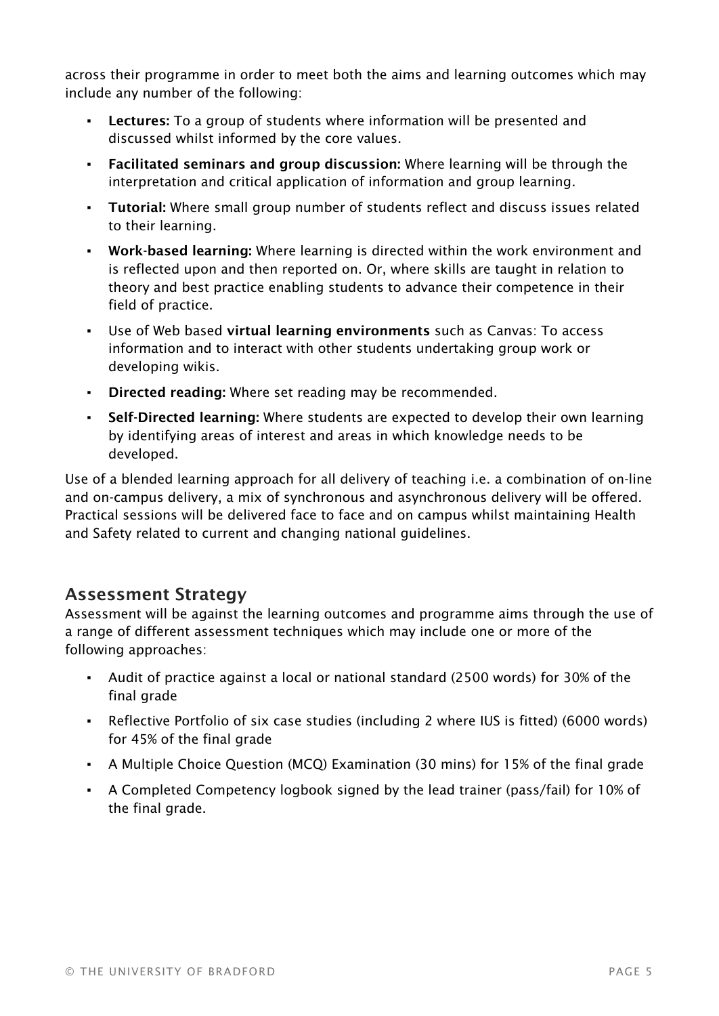across their programme in order to meet both the aims and learning outcomes which may include any number of the following:

- **Lectures:** To a group of students where information will be presented and discussed whilst informed by the core values.
- **Facilitated seminars and group discussion:** Where learning will be through the interpretation and critical application of information and group learning.
- **· Tutorial:** Where small group number of students reflect and discuss issues related to their learning.
- Work-based learning: Where learning is directed within the work environment and is reflected upon and then reported on. Or, where skills are taught in relation to theory and best practice enabling students to advance their competence in their field of practice.
- Use of Web based virtual learning environments such as Canvas: To access information and to interact with other students undertaking group work or developing wikis.
- Directed reading: Where set reading may be recommended.
- Self-Directed learning: Where students are expected to develop their own learning by identifying areas of interest and areas in which knowledge needs to be developed.

Use of a blended learning approach for all delivery of teaching i.e. a combination of on-line and on-campus delivery, a mix of synchronous and asynchronous delivery will be offered. Practical sessions will be delivered face to face and on campus whilst maintaining Health and Safety related to current and changing national guidelines.

#### Assessment Strategy

Assessment will be against the learning outcomes and programme aims through the use of a range of different assessment techniques which may include one or more of the following approaches:

- Audit of practice against a local or national standard (2500 words) for 30% of the final grade
- Reflective Portfolio of six case studies (including 2 where IUS is fitted) (6000 words) for 45% of the final grade
- A Multiple Choice Question (MCQ) Examination (30 mins) for 15% of the final grade
- A Completed Competency logbook signed by the lead trainer (pass/fail) for 10% of the final grade.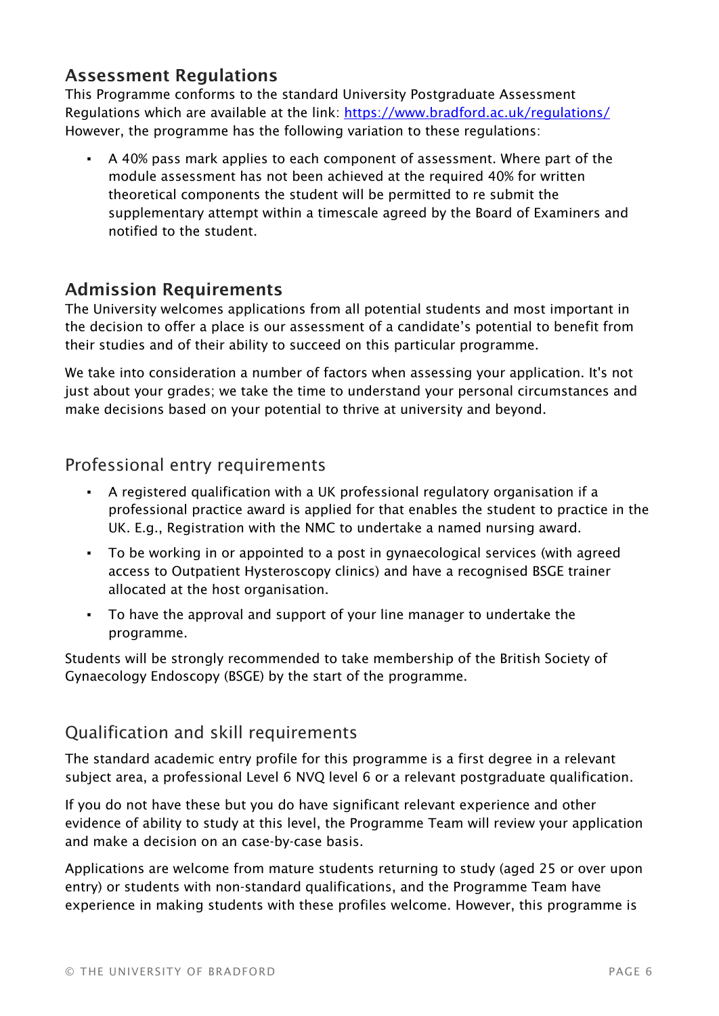### Assessment Regulations

This Programme conforms to the standard University Postgraduate Assessment Regulations which are available at the link: <https://www.bradford.ac.uk/regulations/> However, the programme has the following variation to these regulations:

A 40% pass mark applies to each component of assessment. Where part of the module assessment has not been achieved at the required 40% for written theoretical components the student will be permitted to re submit the supplementary attempt within a timescale agreed by the Board of Examiners and notified to the student.

### Admission Requirements

The University welcomes applications from all potential students and most important in the decision to offer a place is our assessment of a candidate's potential to benefit from their studies and of their ability to succeed on this particular programme.

We take into consideration a number of factors when assessing your application. It's not just about your grades; we take the time to understand your personal circumstances and make decisions based on your potential to thrive at university and beyond.

### Professional entry requirements

- A registered qualification with a UK professional regulatory organisation if a professional practice award is applied for that enables the student to practice in the UK. E.g., Registration with the NMC to undertake a named nursing award.
- To be working in or appointed to a post in gynaecological services (with agreed access to Outpatient Hysteroscopy clinics) and have a recognised BSGE trainer allocated at the host organisation.
- To have the approval and support of your line manager to undertake the programme.

Students will be strongly recommended to take membership of the British Society of Gynaecology Endoscopy (BSGE) by the start of the programme.

### Qualification and skill requirements

The standard academic entry profile for this programme is a first degree in a relevant subject area, a professional Level 6 NVQ level 6 or a relevant postgraduate qualification.

If you do not have these but you do have significant relevant experience and other evidence of ability to study at this level, the Programme Team will review your application and make a decision on an case-by-case basis.

Applications are welcome from mature students returning to study (aged 25 or over upon entry) or students with non-standard qualifications, and the Programme Team have experience in making students with these profiles welcome. However, this programme is